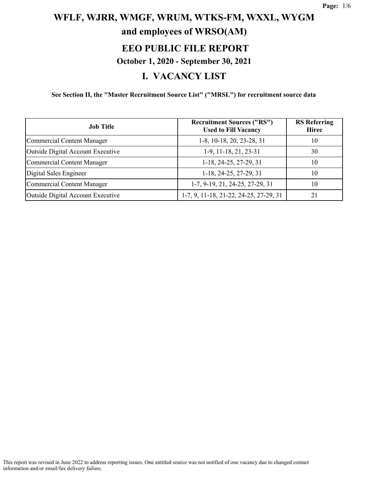# **WFLF, WJRR, WMGF, WRUM, WTKS-FM, WXXL, WYGM and employees of WRSO(AM) EEO PUBLIC FILE REPORT October 1, 2020 - September 30, 2021**

#### **I. VACANCY LIST**

**See Section II, the "Master Recruitment Source List" ("MRSL") for recruitment source data**

| <b>Job Title</b>                  | <b>Recruitment Sources ("RS")</b><br><b>Used to Fill Vacancy</b> | <b>RS</b> Referring<br><b>Hiree</b> |
|-----------------------------------|------------------------------------------------------------------|-------------------------------------|
| Commercial Content Manager        | 1-8, 10-18, 20, 23-28, 31                                        | 10                                  |
| Outside Digital Account Executive | 1-9, 11-18, 21, 23-31                                            | 30                                  |
| Commercial Content Manager        | 1-18, 24-25, 27-29, 31                                           | 10                                  |
| Digital Sales Engineer            | 1-18, 24-25, 27-29, 31                                           | 10                                  |
| Commercial Content Manager        | 1-7, 9-19, 21, 24-25, 27-29, 31                                  | 10                                  |
| Outside Digital Account Executive | 1-7, 9, 11-18, 21-22, 24-25, 27-29, 31                           | 21                                  |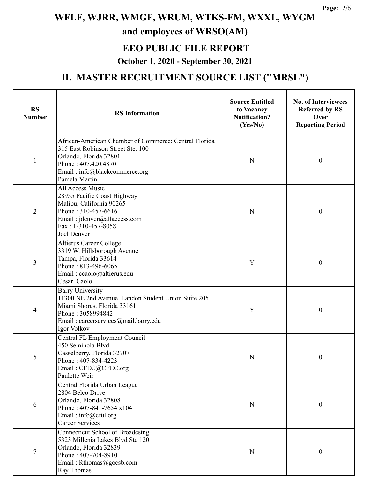#### **EEO PUBLIC FILE REPORT**

#### **October 1, 2020 - September 30, 2021**

| <b>RS</b><br><b>Number</b> | <b>RS</b> Information                                                                                                                                                                         | <b>Source Entitled</b><br>to Vacancy<br><b>Notification?</b><br>(Yes/No) | <b>No. of Interviewees</b><br><b>Referred by RS</b><br>Over<br><b>Reporting Period</b> |
|----------------------------|-----------------------------------------------------------------------------------------------------------------------------------------------------------------------------------------------|--------------------------------------------------------------------------|----------------------------------------------------------------------------------------|
| 1                          | African-American Chamber of Commerce: Central Florida<br>315 East Robinson Street Ste. 100<br>Orlando, Florida 32801<br>Phone: 407.420.4870<br>Email: info@blackcommerce.org<br>Pamela Martin | N                                                                        | $\mathbf{0}$                                                                           |
| $\overline{2}$             | All Access Music<br>28955 Pacific Coast Highway<br>Malibu, California 90265<br>Phone: 310-457-6616<br>Email: jdenver@allaccess.com<br>Fax: 1-310-457-8058<br>Joel Denver                      | N                                                                        | $\mathbf{0}$                                                                           |
| 3                          | Altierus Career College<br>3319 W. Hillsborough Avenue<br>Tampa, Florida 33614<br>Phone: 813-496-6065<br>Email: ccaolo@altierus.edu<br>Cesar Caolo                                            | Y                                                                        | $\boldsymbol{0}$                                                                       |
| 4                          | <b>Barry University</b><br>11300 NE 2nd Avenue Landon Student Union Suite 205<br>Miami Shores, Florida 33161<br>Phone: 3058994842<br>Email: careerservices@mail.barry.edu<br>Igor Volkov      | Y                                                                        | $\theta$                                                                               |
| 5                          | Central FL Employment Council<br>450 Seminola Blvd<br>Casselberry, Florida 32707<br>Phone: 407-834-4223<br>Email: CFEC@CFEC.org<br>Paulette Weir                                              | N                                                                        | 0                                                                                      |
| 6                          | Central Florida Urban League<br>2804 Belco Drive<br>Orlando, Florida 32808<br>Phone: 407-841-7654 x104<br>Email: $info@cful.org$<br><b>Career Services</b>                                    | N                                                                        | $\boldsymbol{0}$                                                                       |
| 7                          | <b>Connecticut School of Broadcstng</b><br>5323 Millenia Lakes Blvd Ste 120<br>Orlando, Florida 32839<br>Phone: 407-704-8910<br>Email: Rthomas@gocsb.com<br>Ray Thomas                        | N                                                                        | $\boldsymbol{0}$                                                                       |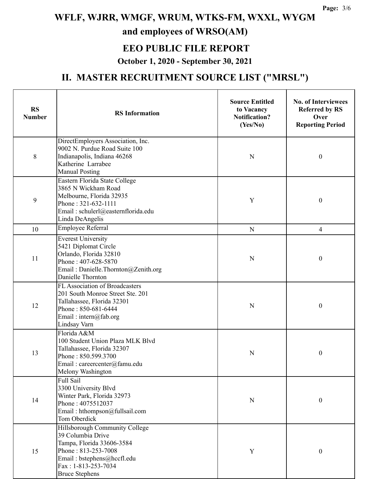#### **EEO PUBLIC FILE REPORT**

#### **October 1, 2020 - September 30, 2021**

| <b>RS</b><br><b>Number</b> | <b>RS</b> Information                                                                                                                                                                 | <b>Source Entitled</b><br>to Vacancy<br><b>Notification?</b><br>(Yes/No) | <b>No. of Interviewees</b><br><b>Referred by RS</b><br>Over<br><b>Reporting Period</b> |
|----------------------------|---------------------------------------------------------------------------------------------------------------------------------------------------------------------------------------|--------------------------------------------------------------------------|----------------------------------------------------------------------------------------|
| 8                          | DirectEmployers Association, Inc.<br>9002 N. Purdue Road Suite 100<br>Indianapolis, Indiana 46268<br>Katherine Larrabee<br><b>Manual Posting</b>                                      | N                                                                        | $\boldsymbol{0}$                                                                       |
| 9                          | Eastern Florida State College<br>3865 N Wickham Road<br>Melbourne, Florida 32935<br>Phone: 321-632-1111<br>Email: schulerl@easternflorida.edu<br>Linda DeAngelis                      | Y                                                                        | $\boldsymbol{0}$                                                                       |
| 10                         | Employee Referral                                                                                                                                                                     | ${\bf N}$                                                                | $\overline{\mathcal{A}}$                                                               |
| 11                         | <b>Everest University</b><br>5421 Diplomat Circle<br>Orlando, Florida 32810<br>Phone: 407-628-5870<br>Email: Danielle.Thornton@Zenith.org<br>Danielle Thornton                        | N                                                                        | $\boldsymbol{0}$                                                                       |
| 12                         | FL Association of Broadcasters<br>201 South Monroe Street Ste. 201<br>Tallahassee, Florida 32301<br>Phone: 850-681-6444<br>Email: intern@fab.org<br>Lindsay Varn                      | N                                                                        | $\boldsymbol{0}$                                                                       |
| 13                         | Florida A&M<br>100 Student Union Plaza MLK Blvd<br>Tallahassee, Florida 32307<br>Phone: 850.599.3700<br>Email: careercenter@famu.edu<br>Melony Washington                             | N                                                                        | 0                                                                                      |
| 14                         | Full Sail<br>3300 University Blvd<br>Winter Park, Florida 32973<br>Phone: 4075512037<br>Email: hthompson@fullsail.com<br>Tom Oberdick                                                 | N                                                                        | $\boldsymbol{0}$                                                                       |
| 15                         | Hillsborough Community College<br>39 Columbia Drive<br>Tampa, Florida 33606-3584<br>Phone: 813-253-7008<br>Email: bstephens@hccfl.edu<br>Fax: 1-813-253-7034<br><b>Bruce Stephens</b> | Y                                                                        | $\boldsymbol{0}$                                                                       |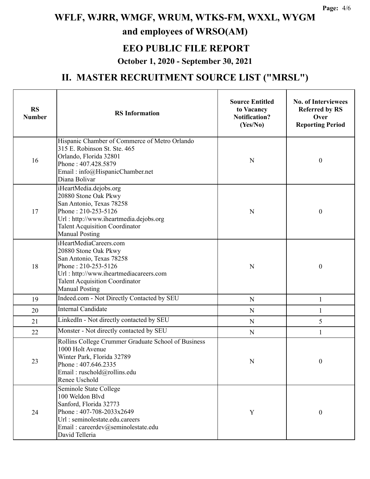### **EEO PUBLIC FILE REPORT**

#### **October 1, 2020 - September 30, 2021**

| <b>RS</b><br><b>Number</b> | <b>RS</b> Information                                                                                                                                                                                         | <b>Source Entitled</b><br>to Vacancy<br><b>Notification?</b><br>(Yes/No) | <b>No. of Interviewees</b><br><b>Referred by RS</b><br>Over<br><b>Reporting Period</b> |
|----------------------------|---------------------------------------------------------------------------------------------------------------------------------------------------------------------------------------------------------------|--------------------------------------------------------------------------|----------------------------------------------------------------------------------------|
| 16                         | Hispanic Chamber of Commerce of Metro Orlando<br>315 E. Robinson St. Ste. 465<br>Orlando, Florida 32801<br>Phone: 407.428.5879<br>Email: info@HispanicChamber.net<br>Diana Bolivar                            | N                                                                        | $\boldsymbol{0}$                                                                       |
| 17                         | iHeartMedia.dejobs.org<br>20880 Stone Oak Pkwy<br>San Antonio, Texas 78258<br>Phone: 210-253-5126<br>Url: http://www.iheartmedia.dejobs.org<br><b>Talent Acquisition Coordinator</b><br><b>Manual Posting</b> | N                                                                        | $\boldsymbol{0}$                                                                       |
| 18                         | iHeartMediaCareers.com<br>20880 Stone Oak Pkwy<br>San Antonio, Texas 78258<br>Phone: 210-253-5126<br>Url: http://www.iheartmediacareers.com<br><b>Talent Acquisition Coordinator</b><br><b>Manual Posting</b> | N                                                                        | $\theta$                                                                               |
| 19                         | Indeed.com - Not Directly Contacted by SEU                                                                                                                                                                    | ${\bf N}$                                                                | $\mathbf{1}$                                                                           |
| 20                         | <b>Internal Candidate</b>                                                                                                                                                                                     | ${\bf N}$                                                                | $\mathbf{1}$                                                                           |
| 21                         | LinkedIn - Not directly contacted by SEU                                                                                                                                                                      | ${\bf N}$                                                                | 5                                                                                      |
| 22                         | Monster - Not directly contacted by SEU                                                                                                                                                                       | ${\bf N}$                                                                | 1                                                                                      |
| 23                         | Rollins College Crummer Graduate School of Business<br>1000 Holt Avenue<br>Winter Park, Florida 32789<br>Phone: 407.646.2335<br>Email: ruschold@rollins.edu<br>Renee Uschold                                  | N                                                                        | $\boldsymbol{0}$                                                                       |
| 24                         | Seminole State College<br>100 Weldon Blvd<br>Sanford, Florida 32773<br>Phone: 407-708-2033x2649<br>Url: seminolestate.edu.careers<br>Email: careerdev@seminolestate.edu<br>David Telleria                     | Y                                                                        | $\mathbf{0}$                                                                           |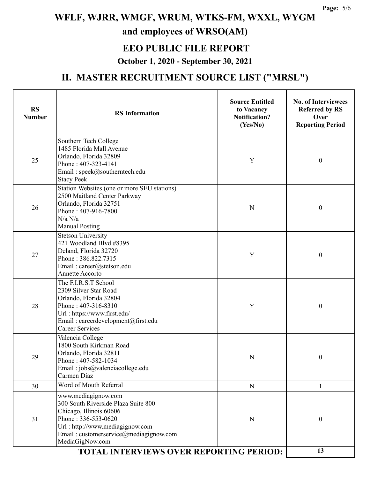#### **EEO PUBLIC FILE REPORT**

#### **October 1, 2020 - September 30, 2021**

| <b>RS</b><br><b>Number</b> | <b>RS</b> Information                                                                                                                                                                                        | <b>Source Entitled</b><br>to Vacancy<br><b>Notification?</b><br>(Yes/No) | <b>No. of Interviewees</b><br><b>Referred by RS</b><br>Over<br><b>Reporting Period</b> |
|----------------------------|--------------------------------------------------------------------------------------------------------------------------------------------------------------------------------------------------------------|--------------------------------------------------------------------------|----------------------------------------------------------------------------------------|
| 25                         | Southern Tech College<br>1485 Florida Mall Avenue<br>Orlando, Florida 32809<br>Phone: 407-323-4141<br>Email: speek@southerntech.edu<br><b>Stacy Peek</b>                                                     | Y                                                                        | $\boldsymbol{0}$                                                                       |
| 26                         | Station Websites (one or more SEU stations)<br>2500 Maitland Center Parkway<br>Orlando, Florida 32751<br>Phone: 407-916-7800<br>N/a N/a<br><b>Manual Posting</b>                                             | N                                                                        | $\boldsymbol{0}$                                                                       |
| 27                         | <b>Stetson University</b><br>421 Woodland Blvd #8395<br>Deland, Florida 32720<br>Phone: 386.822.7315<br>Email: career@stetson.edu<br>Annette Accorto                                                         | Y                                                                        | $\boldsymbol{0}$                                                                       |
| 28                         | The F.I.R.S.T School<br>2309 Silver Star Road<br>Orlando, Florida 32804<br>Phone: 407-316-8310<br>Url: https://www.first.edu/<br>Email: careerdevelopment@first.edu<br><b>Career Services</b>                | Y                                                                        | $\boldsymbol{0}$                                                                       |
| 29                         | Valencia College<br>1800 South Kirkman Road<br>Orlando, Florida 32811<br>Phone: $407-582-1034$<br>Email: jobs@valenciacollege.edu<br>Carmen Diaz                                                             | N                                                                        | 0                                                                                      |
| 30                         | Word of Mouth Referral                                                                                                                                                                                       | N                                                                        |                                                                                        |
| 31                         | www.mediagignow.com<br>300 South Riverside Plaza Suite 800<br>Chicago, Illinois 60606<br>Phone: 336-553-0620<br>Url: http://www.mediagignow.com<br>Email: customerservice@mediagignow.com<br>MediaGigNow.com | N                                                                        | $\boldsymbol{0}$                                                                       |
|                            | 13                                                                                                                                                                                                           |                                                                          |                                                                                        |